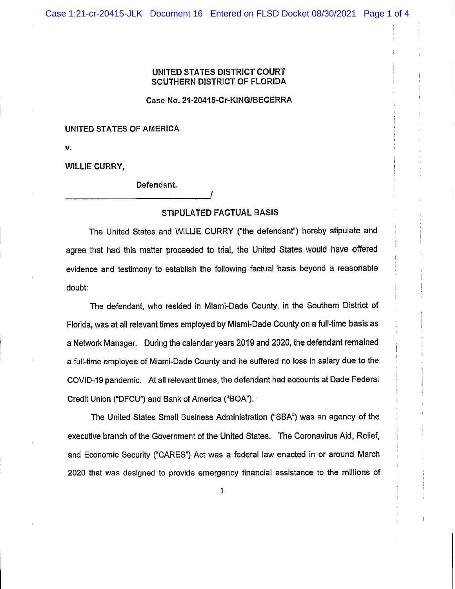## UNITED STATES DISTRICT COURT SOUTHERN DISTRICT OF FLORIDA

Case No. 21-20415-Cr-KING/BECERRA

## UNITED STATES OF AMERICA

V.

WILLIE CURRY,

Defendant

## STIPULATED FAGTUAL BASIS

/

The United States and WILLIE CURRY ("the defendant") hereby stipulate and agree that had this matter proceeded to trial, the United States would have offered evidence and testimony to establish the following factual basis beyond a reasonable doubt:

The defendant, who resided in Miami-Dade County, in the Southern District of Florida, was at all relevant times employed by Miami-Dade County on a full-time basis as a Network Manager. During the calendar years 2019 and 2020, the defendant remained a full-time employee of Miami-Dade County and he suffered no loss in salary due to the COVID-19 pandemic. At all relevant times, the defendant had accounts at Dade Federal Credit Union ("DFCU") and Bank of America ("BOA").

The United States Small Business Administration ("SBA") was an agency of the executive branch of the Government of the United States. The Coronavirus Aid, Relief, and Economic Security ("CARES") Act was a federal law enacted in or around March 2020 that was designed to provide emergency financial assistance to the millions of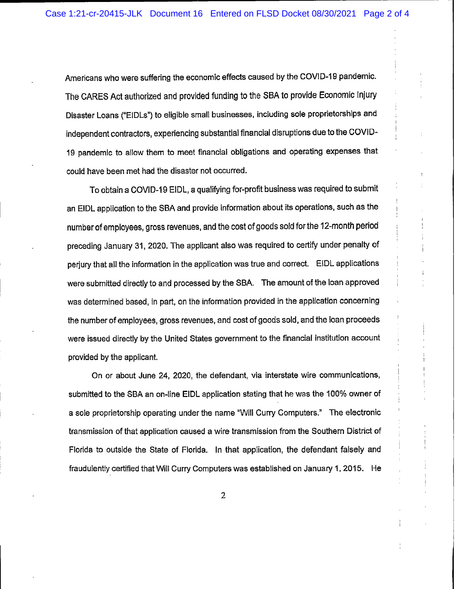Americans who were suffering the economic effects caused by the COVID-19 pandemic. The CARES Act authorized and provided funding to the SBA to provide Economic Injury Disaster Loans ("EIDLs") to eligible small businesses, including sole proprietorships and independent contractors, experiencing substantial financial disruptions due to the COVID-19 pandemic to allow them to meet financial obligations and operating expenses that could have been met had the disaster not occurred.

To obtain a COVID-19 EIDL, a qualifying for-profit business was required to submit an EIDL application to the SBA and provide information about its operations, such as the number of employees, gross revenues, and the cost of goods sold for the 12-month period preceding January 31, 2020. The applicant also was required to certify under penalty of periury that all the information in the application was true and correct. EIDL applications were submitted directly to and processed by the SBA. The amount of the loan approved was determined based, in part, on the information provided in the application concerning the number of employees, gross revenues, and cost of goods sold, and the loan proceeds were issued directly by the United States government to the financial institution account provided by the applicant.

On or about June 24, 2020, the defendant, via interstate wire communications, submitted to the SBA an on-line EIDL application stating that he was the 100% owner of a sole proprietorship operating under the name "Will Curry Computers." The electronic transmission of that application caused a wire transmission from the Southern District of Florida to outside the State of Florida. In that application, the defendant falsely and fraudulently certified that Will Curry Computers was established on January 1, 2015. He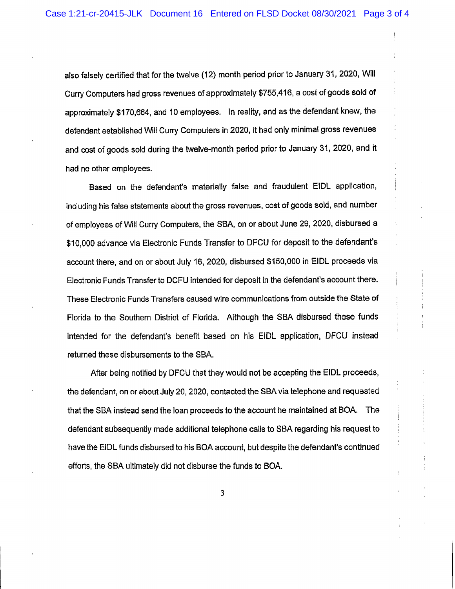also falsely certified that for the twelve (12) month period prior to January 31, 2020, Will Curry Computers had gross revenues of approximately \$755,416, a cost of goods sold of approximately \$170,664, and 10 employees. In reality, and as the defendant knew, the defendant established Will Curry Computers in 2020, it had only minimal gross revenues and cost of goods sold during the twelve-month period prior to January 31, 2020, and it had no other employees.

Based on the defendant's materially false and fraudulent EIDL application, including his false statements about the gross revenues, cost of goods sold, and number of employees of Will Curry Computers, the SBA, on or about June 29, 2020, disbursed a \$10,000 advance via Electronic Funds Transfer to DFCU for deposit to the defendant's account there, and on or about July 16, 2020, disbursed \$150,000 in EIDL proceeds via Electronic Funds Transfer to DCFU intended for deposit in the defendant's account there. These Electronic Funds Transfers caused wire communications from outside the State of Florida to the Southern District of Florida. Although the SBA disbursed these funds intended for the defendant's benefit based on his EIDL application, DFCU instead returned these disbursements to the SBA.

After being notified by DFCU that they would not be accepting the EIDL proceeds, the defendant, on or about July 20, 2020, contacted the SBA via telephone and requested that the SBA instead send the loan proceeds to the account he maintained at BOA. The defendant subsequently made additional telephone calls to SBA regarding his request to have the EIDL funds disbursed to his BOA account, but despite the defendant's continued efforts, the SBA ultimately did not disburse the funds to BOA.

 $\mathbf{3}$